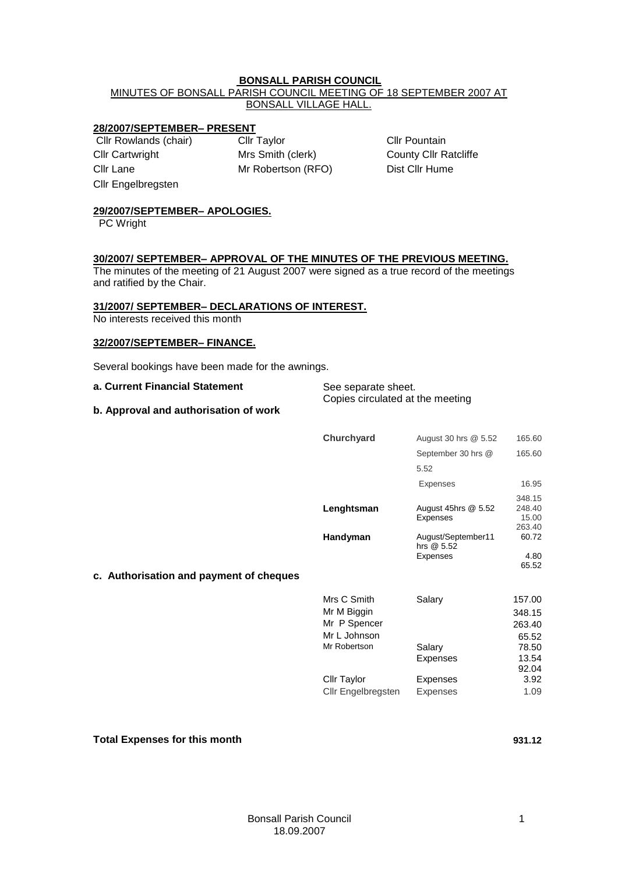### **BONSALL PARISH COUNCIL**

MINUTES OF BONSALL PARISH COUNCIL MEETING OF 18 SEPTEMBER 2007 AT BONSALL VILLAGE HALL.

### **28/2007/SEPTEMBER– PRESENT**

Cllr Cartwright Mrs Smith (clerk) County Cllr Ratcliffe Cllr Lane Mr Robertson (RFO) Dist Cllr Hume Cllr Engelbregsten

Cllr Rowlands (chair) Cllr Taylor Cllr Town Cllr Pountain

# **29/2007/SEPTEMBER– APOLOGIES.**

PC Wright

### **30/2007/ SEPTEMBER– APPROVAL OF THE MINUTES OF THE PREVIOUS MEETING.**

The minutes of the meeting of 21 August 2007 were signed as a true record of the meetings and ratified by the Chair.

### **31/2007/ SEPTEMBER– DECLARATIONS OF INTEREST.**

No interests received this month

#### **32/2007/SEPTEMBER– FINANCE.**

Several bookings have been made for the awnings.

| a. Current Financial Statement        | See separate sheet.              |
|---------------------------------------|----------------------------------|
|                                       | Copies circulated at the meeting |
| b. Approval and authorisation of work |                                  |

|                                         | Churchyard | August 30 hrs @ 5.52                   | 165.60                              |
|-----------------------------------------|------------|----------------------------------------|-------------------------------------|
|                                         |            | September 30 hrs @                     | 165.60                              |
|                                         |            | 5.52                                   |                                     |
|                                         |            | Expenses                               | 16.95                               |
|                                         | Lenghtsman | August 45hrs @ 5.52<br><b>Expenses</b> | 348.15<br>248.40<br>15.00<br>263.40 |
|                                         | Handyman   | August/September11<br>hrs $@5.52$      | 60.72                               |
|                                         |            | <b>Expenses</b>                        | 4.80                                |
| c. Authorisation and payment of cheques |            |                                        | 65.52                               |

| Mrs C Smith        | Salary          | 157.00 |
|--------------------|-----------------|--------|
| Mr M Biggin        |                 | 348.15 |
| Mr P Spencer       |                 | 263.40 |
| Mr L Johnson       |                 | 65.52  |
| Mr Robertson       | Salary          | 78.50  |
|                    | <b>Expenses</b> | 13.54  |
|                    |                 | 92.04  |
| Cllr Taylor        | Expenses        | 3.92   |
| Cllr Engelbregsten | <b>Expenses</b> | 1.09   |
|                    |                 |        |

#### **Total Expenses for this month 931.12**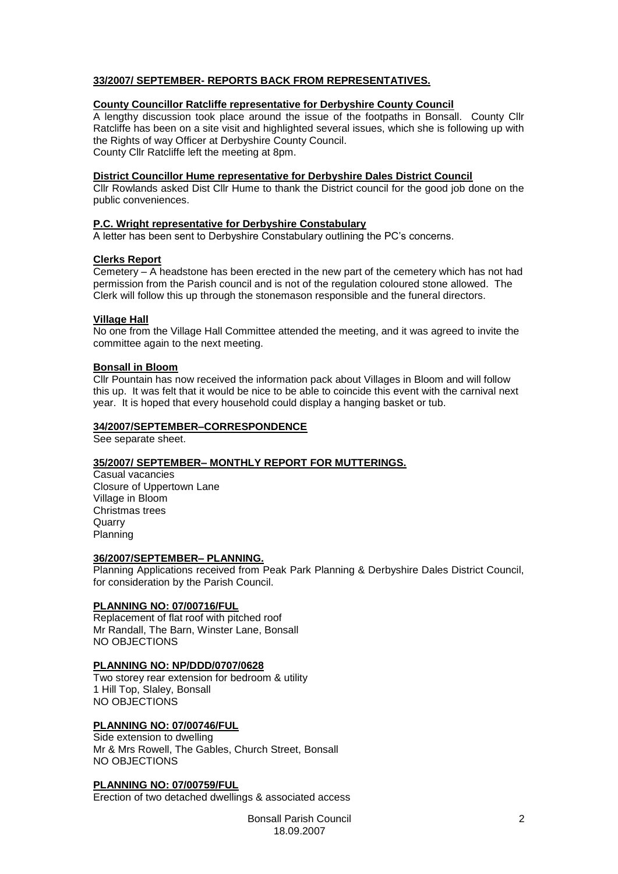# **33/2007/ SEPTEMBER- REPORTS BACK FROM REPRESENTATIVES.**

### **County Councillor Ratcliffe representative for Derbyshire County Council**

A lengthy discussion took place around the issue of the footpaths in Bonsall. County Cllr Ratcliffe has been on a site visit and highlighted several issues, which she is following up with the Rights of way Officer at Derbyshire County Council.

County Cllr Ratcliffe left the meeting at 8pm.

#### **District Councillor Hume representative for Derbyshire Dales District Council**

Cllr Rowlands asked Dist Cllr Hume to thank the District council for the good job done on the public conveniences.

### **P.C. Wright representative for Derbyshire Constabulary**

A letter has been sent to Derbyshire Constabulary outlining the PC's concerns.

### **Clerks Report**

Cemetery – A headstone has been erected in the new part of the cemetery which has not had permission from the Parish council and is not of the regulation coloured stone allowed. The Clerk will follow this up through the stonemason responsible and the funeral directors.

### **Village Hall**

No one from the Village Hall Committee attended the meeting, and it was agreed to invite the committee again to the next meeting.

### **Bonsall in Bloom**

Cllr Pountain has now received the information pack about Villages in Bloom and will follow this up. It was felt that it would be nice to be able to coincide this event with the carnival next year. It is hoped that every household could display a hanging basket or tub.

#### **34/2007/SEPTEMBER–CORRESPONDENCE**

See separate sheet.

## **35/2007/ SEPTEMBER– MONTHLY REPORT FOR MUTTERINGS.**

Casual vacancies Closure of Uppertown Lane Village in Bloom Christmas trees **Quarry** Planning

#### **36/2007/SEPTEMBER– PLANNING.**

Planning Applications received from Peak Park Planning & Derbyshire Dales District Council, for consideration by the Parish Council.

## **PLANNING NO: 07/00716/FUL**

Replacement of flat roof with pitched roof Mr Randall, The Barn, Winster Lane, Bonsall NO OBJECTIONS

#### **PLANNING NO: NP/DDD/0707/0628**

Two storey rear extension for bedroom & utility 1 Hill Top, Slaley, Bonsall NO OBJECTIONS

## **PLANNING NO: 07/00746/FUL**

Side extension to dwelling Mr & Mrs Rowell, The Gables, Church Street, Bonsall NO OBJECTIONS

## **PLANNING NO: 07/00759/FUL**

Erection of two detached dwellings & associated access

Bonsall Parish Council 18.09.2007